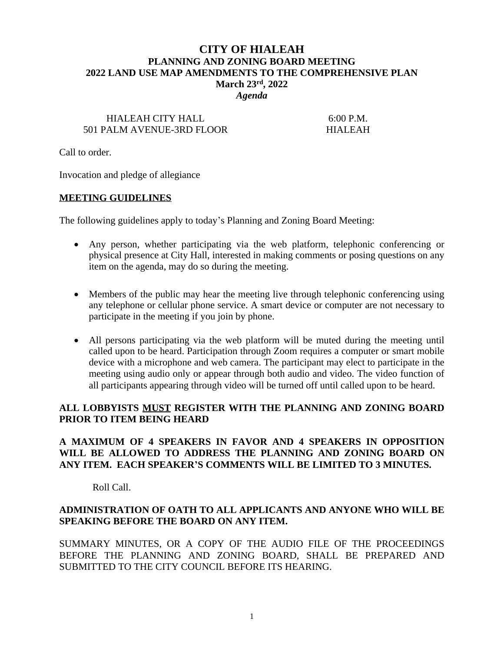# **CITY OF HIALEAH PLANNING AND ZONING BOARD MEETING 2022 LAND USE MAP AMENDMENTS TO THE COMPREHENSIVE PLAN March 23rd, 2022**

*Agenda*

## HIALEAH CITY HALL 6:00 P.M. 501 PALM AVENUE-3RD FLOOR HIALEAH

Call to order.

Invocation and pledge of allegiance

#### **MEETING GUIDELINES**

The following guidelines apply to today's Planning and Zoning Board Meeting:

- Any person, whether participating via the web platform, telephonic conferencing or physical presence at City Hall, interested in making comments or posing questions on any item on the agenda, may do so during the meeting.
- Members of the public may hear the meeting live through telephonic conferencing using any telephone or cellular phone service. A smart device or computer are not necessary to participate in the meeting if you join by phone.
- All persons participating via the web platform will be muted during the meeting until called upon to be heard. Participation through Zoom requires a computer or smart mobile device with a microphone and web camera. The participant may elect to participate in the meeting using audio only or appear through both audio and video. The video function of all participants appearing through video will be turned off until called upon to be heard.

#### **ALL LOBBYISTS MUST REGISTER WITH THE PLANNING AND ZONING BOARD PRIOR TO ITEM BEING HEARD**

#### **A MAXIMUM OF 4 SPEAKERS IN FAVOR AND 4 SPEAKERS IN OPPOSITION WILL BE ALLOWED TO ADDRESS THE PLANNING AND ZONING BOARD ON ANY ITEM. EACH SPEAKER'S COMMENTS WILL BE LIMITED TO 3 MINUTES.**

Roll Call.

#### **ADMINISTRATION OF OATH TO ALL APPLICANTS AND ANYONE WHO WILL BE SPEAKING BEFORE THE BOARD ON ANY ITEM.**

SUMMARY MINUTES, OR A COPY OF THE AUDIO FILE OF THE PROCEEDINGS BEFORE THE PLANNING AND ZONING BOARD, SHALL BE PREPARED AND SUBMITTED TO THE CITY COUNCIL BEFORE ITS HEARING.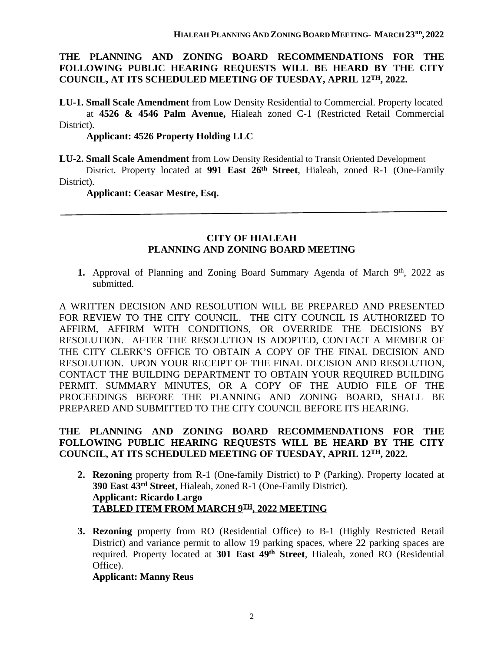#### **THE PLANNING AND ZONING BOARD RECOMMENDATIONS FOR THE FOLLOWING PUBLIC HEARING REQUESTS WILL BE HEARD BY THE CITY COUNCIL, AT ITS SCHEDULED MEETING OF TUESDAY, APRIL 12TH, 2022.**

**LU-1. Small Scale Amendment** from Low Density Residential to Commercial. Property located at **4526 & 4546 Palm Avenue,** Hialeah zoned C-1 (Restricted Retail Commercial District).

**Applicant: 4526 Property Holding LLC**

**LU-2. Small Scale Amendment** from Low Density Residential to Transit Oriented Development

District. Property located at **991 East 26th Street**, Hialeah, zoned R-1 (One-Family District).

 **Applicant: Ceasar Mestre, Esq.**

#### **CITY OF HIALEAH PLANNING AND ZONING BOARD MEETING**

1. Approval of Planning and Zoning Board Summary Agenda of March 9<sup>th</sup>, 2022 as submitted.

A WRITTEN DECISION AND RESOLUTION WILL BE PREPARED AND PRESENTED FOR REVIEW TO THE CITY COUNCIL. THE CITY COUNCIL IS AUTHORIZED TO AFFIRM, AFFIRM WITH CONDITIONS, OR OVERRIDE THE DECISIONS BY RESOLUTION. AFTER THE RESOLUTION IS ADOPTED, CONTACT A MEMBER OF THE CITY CLERK'S OFFICE TO OBTAIN A COPY OF THE FINAL DECISION AND RESOLUTION. UPON YOUR RECEIPT OF THE FINAL DECISION AND RESOLUTION, CONTACT THE BUILDING DEPARTMENT TO OBTAIN YOUR REQUIRED BUILDING PERMIT. SUMMARY MINUTES, OR A COPY OF THE AUDIO FILE OF THE PROCEEDINGS BEFORE THE PLANNING AND ZONING BOARD, SHALL BE PREPARED AND SUBMITTED TO THE CITY COUNCIL BEFORE ITS HEARING.

### **THE PLANNING AND ZONING BOARD RECOMMENDATIONS FOR THE FOLLOWING PUBLIC HEARING REQUESTS WILL BE HEARD BY THE CITY COUNCIL, AT ITS SCHEDULED MEETING OF TUESDAY, APRIL 12TH, 2022.**

- **2. Rezoning** property from R-1 (One-family District) to P (Parking). Property located at **390 East 43rd Street**, Hialeah, zoned R-1 (One-Family District). **Applicant: Ricardo Largo TABLED ITEM FROM MARCH 9TH, 2022 MEETING**
- **3. Rezoning** property from RO (Residential Office) to B-1 (Highly Restricted Retail District) and variance permit to allow 19 parking spaces, where 22 parking spaces are required. Property located at **301 East 49th Street**, Hialeah, zoned RO (Residential Office).

**Applicant: Manny Reus**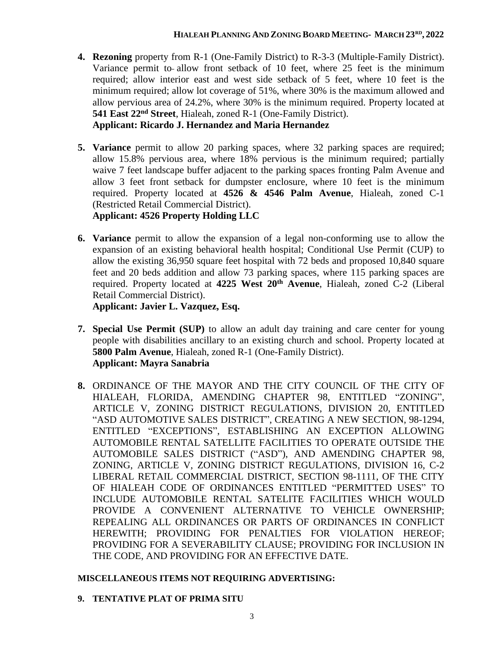- **4. Rezoning** property from R-1 (One-Family District) to R-3-3 (Multiple-Family District). Variance permit to allow front setback of 10 feet, where 25 feet is the minimum required; allow interior east and west side setback of 5 feet, where 10 feet is the minimum required; allow lot coverage of 51%, where 30% is the maximum allowed and allow pervious area of 24.2%, where 30% is the minimum required. Property located at **541 East 22nd Street**, Hialeah, zoned R-1 (One-Family District). **Applicant: Ricardo J. Hernandez and Maria Hernandez**
- **5. Variance** permit to allow 20 parking spaces, where 32 parking spaces are required; allow 15.8% pervious area, where 18% pervious is the minimum required; partially waive 7 feet landscape buffer adjacent to the parking spaces fronting Palm Avenue and allow 3 feet front setback for dumpster enclosure, where 10 feet is the minimum required. Property located at **4526 & 4546 Palm Avenue**, Hialeah, zoned C-1 (Restricted Retail Commercial District). **Applicant: 4526 Property Holding LLC**
- **6. Variance** permit to allow the expansion of a legal non-conforming use to allow the expansion of an existing behavioral health hospital; Conditional Use Permit (CUP) to allow the existing 36,950 square feet hospital with 72 beds and proposed 10,840 square feet and 20 beds addition and allow 73 parking spaces, where 115 parking spaces are required. Property located at **4225 West 20th Avenue**, Hialeah, zoned C-2 (Liberal Retail Commercial District).

**Applicant: Javier L. Vazquez, Esq.**

- **7. Special Use Permit (SUP)** to allow an adult day training and care center for young people with disabilities ancillary to an existing church and school. Property located at **5800 Palm Avenue**, Hialeah, zoned R-1 (One-Family District). **Applicant: Mayra Sanabria**
- **8.** ORDINANCE OF THE MAYOR AND THE CITY COUNCIL OF THE CITY OF HIALEAH, FLORIDA, AMENDING CHAPTER 98, ENTITLED "ZONING", ARTICLE V, ZONING DISTRICT REGULATIONS, DIVISION 20, ENTITLED "ASD AUTOMOTIVE SALES DISTRICT", CREATING A NEW SECTION, 98-1294, ENTITLED "EXCEPTIONS", ESTABLISHING AN EXCEPTION ALLOWING AUTOMOBILE RENTAL SATELLITE FACILITIES TO OPERATE OUTSIDE THE AUTOMOBILE SALES DISTRICT ("ASD"), AND AMENDING CHAPTER 98, ZONING, ARTICLE V, ZONING DISTRICT REGULATIONS, DIVISION 16, C-2 LIBERAL RETAIL COMMERCIAL DISTRICT, SECTION 98-1111, OF THE CITY OF HIALEAH CODE OF ORDINANCES ENTITLED "PERMITTED USES" TO INCLUDE AUTOMOBILE RENTAL SATELITE FACILITIES WHICH WOULD PROVIDE A CONVENIENT ALTERNATIVE TO VEHICLE OWNERSHIP; REPEALING ALL ORDINANCES OR PARTS OF ORDINANCES IN CONFLICT HEREWITH; PROVIDING FOR PENALTIES FOR VIOLATION HEREOF; PROVIDING FOR A SEVERABILITY CLAUSE; PROVIDING FOR INCLUSION IN THE CODE, AND PROVIDING FOR AN EFFECTIVE DATE.

### **MISCELLANEOUS ITEMS NOT REQUIRING ADVERTISING:**

**9. TENTATIVE PLAT OF PRIMA SITU**